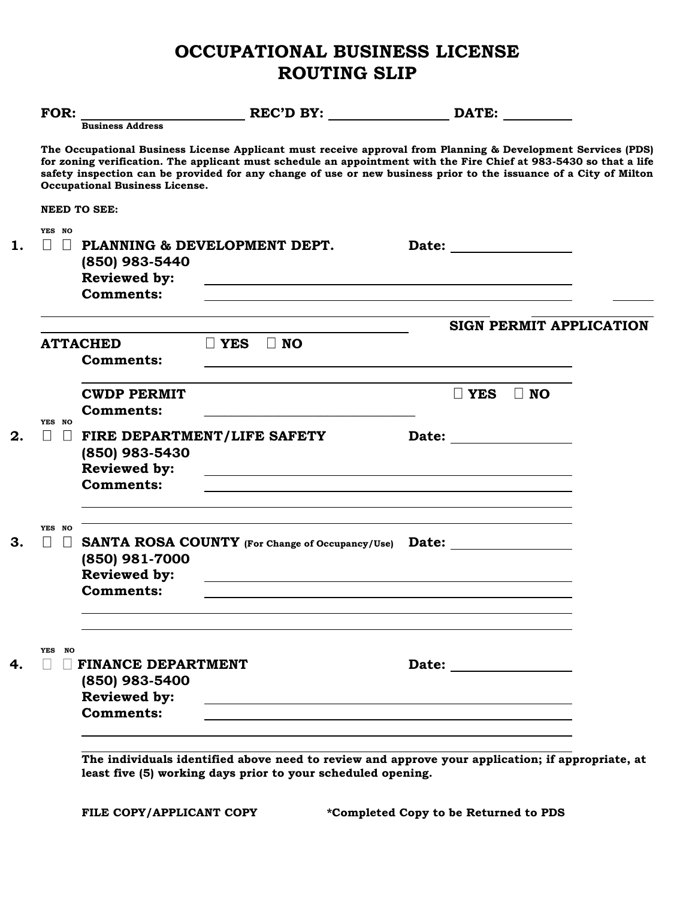## **OCCUPATIONAL BUSINESS LICENSE ROUTING SLIP**

| FOR:                                   | <b>Business Address</b>                                   |                                                                                                                                                                                                                                                                                                                                                         | REC'D BY: DATE:                |  |
|----------------------------------------|-----------------------------------------------------------|---------------------------------------------------------------------------------------------------------------------------------------------------------------------------------------------------------------------------------------------------------------------------------------------------------------------------------------------------------|--------------------------------|--|
|                                        | <b>Occupational Business License.</b>                     | The Occupational Business License Applicant must receive approval from Planning & Development Services (PDS)<br>for zoning verification. The applicant must schedule an appointment with the Fire Chief at 983-5430 so that a life<br>safety inspection can be provided for any change of use or new business prior to the issuance of a City of Milton |                                |  |
| <b>NEED TO SEE:</b>                    |                                                           |                                                                                                                                                                                                                                                                                                                                                         |                                |  |
| YES NO<br>$\perp$<br>$\Box$            | (850) 983-5440<br><b>Reviewed by:</b><br><b>Comments:</b> | PLANNING & DEVELOPMENT DEPT.<br>the control of the control of the control of the control of the control of the control of the control of the control of the control of the control of the control of the control of the control of the control of the control                                                                                           |                                |  |
|                                        |                                                           |                                                                                                                                                                                                                                                                                                                                                         | <b>SIGN PERMIT APPLICATION</b> |  |
| <b>ATTACHED</b>                        | <b>Comments:</b>                                          | $\Box$ YES $\Box$ NO                                                                                                                                                                                                                                                                                                                                    |                                |  |
|                                        | <b>CWDP PERMIT</b><br><b>Comments:</b>                    |                                                                                                                                                                                                                                                                                                                                                         | $\Box$ NO<br>∐ YES             |  |
| YES NO<br>$\perp$<br>$\perp$           | (850) 983-5430<br><b>Reviewed by:</b><br><b>Comments:</b> | FIRE DEPARTMENT/LIFE SAFETY<br>and the control of the control of the control of the control of the control of the control of the control of the                                                                                                                                                                                                         |                                |  |
| YES NO<br>$\vert \ \ \vert$<br>$\perp$ | (850) 981-7000<br><b>Reviewed by:</b><br><b>Comments:</b> | SANTA ROSA COUNTY (For Change of Occupancy/Use) Date:                                                                                                                                                                                                                                                                                                   |                                |  |
| YES NO                                 | <b>FINANCE DEPARTMENT</b>                                 |                                                                                                                                                                                                                                                                                                                                                         |                                |  |
|                                        | (850) 983-5400<br><b>Reviewed by:</b><br><b>Comments:</b> |                                                                                                                                                                                                                                                                                                                                                         |                                |  |

**The individuals identified above need to review and approve your application; if appropriate, at least five (5) working days prior to your scheduled opening.**

**FILE COPY/APPLICANT COPY \*Completed Copy to be Returned to PDS**